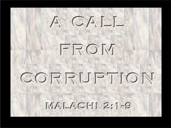# $A \subset A \cup I$

# FROM

## CORRUPTION

 $MAIIACHI 2:1-8$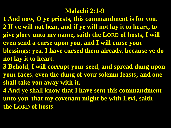#### **Malachi 2:1-9**

**1 And now, O ye priests, this commandment is for you. 2 If ye will not hear, and if ye will not lay it to heart, to give glory unto my name, saith the LORD of hosts, I will even send a curse upon you, and I will curse your blessings: yea, I have cursed them already, because ye do not lay it to heart.**

**3 Behold, I will corrupt your seed, and spread dung upon your faces, even the dung of your solemn feasts; and one shall take you away with it.**

**4 And ye shall know that I have sent this commandment unto you, that my covenant might be with Levi, saith the LORD of hosts.**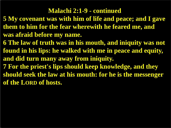#### **Malachi 2:1-9 - continued**

- **5 My covenant was with him of life and peace; and I gave them to him for the fear wherewith he feared me, and was afraid before my name.**
- **6 The law of truth was in his mouth, and iniquity was not found in his lips: he walked with me in peace and equity, and did turn many away from iniquity.**
- **7 For the priest's lips should keep knowledge, and they should seek the law at his mouth: for he is the messenger of the LORD of hosts.**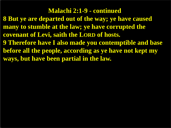**Malachi 2:1-9 - continued 8 But ye are departed out of the way; ye have caused many to stumble at the law; ye have corrupted the covenant of Levi, saith the LORD of hosts. 9 Therefore have I also made you contemptible and base before all the people, according as ye have not kept my ways, but have been partial in the law.**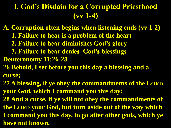#### **I. God's Disdain for a Corrupted Priesthood (vv 1-4)**

**A. Corruption often begins when listening ends (vv 1-2) 1. Failure to hear is a problem of the heart 2. Failure to hear diminishes God's glory 3. Failure to hear denies God's blessings Deuteronomy 11:26-28 26 Behold, I set before you this day a blessing and a curse; 27 A blessing, if ye obey the commandments of the LORD your God, which I command you this day: 28 And a curse, if ye will not obey the commandments of the LORD your God, but turn aside out of the way which I command you this day, to go after other gods, which ye have not known.**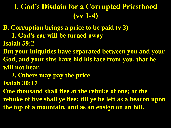#### **I. God's Disdain for a Corrupted Priesthood (vv 1-4)**

- **B. Corruption brings a price to be paid (v 3)**
	- **1. God's ear will be turned away**
- **Isaiah 59:2**
- **But your iniquities have separated between you and your God, and your sins have hid his face from you, that he will not hear.**
	- **2. Others may pay the price**
- **Isaiah 30:17**
- **One thousand shall flee at the rebuke of one; at the rebuke of five shall ye flee: till ye be left as a beacon upon the top of a mountain, and as an ensign on an hill.**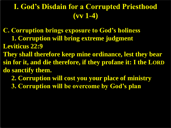#### **I. God's Disdain for a Corrupted Priesthood (vv 1-4)**

- **C. Corruption brings exposure to God's holiness 1. Corruption will bring extreme judgment Leviticus 22:9**
- **They shall therefore keep mine ordinance, lest they bear sin for it, and die therefore, if they profane it: I the LORD do sanctify them.**
	- **2. Corruption will cost you your place of ministry**
	- **3. Corruption will be overcome by God's plan**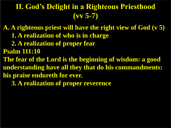#### **II. God's Delight in a Righteous Priesthood (vv 5-7)**

**A. A righteous priest will have the right view of God (v 5) 1. A realization of who is in charge 2. A realization of proper fear Psalm 111:10 The fear of the Lord is the beginning of wisdom: a good understanding have all they that do his commandments: his praise endureth for ever. 3. A realization of proper reverence**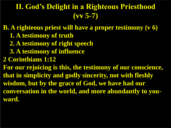#### **II. God's Delight in a Righteous Priesthood (vv 5-7)**

**B. A righteous priest will have a proper testimony (v 6) 1. A testimony of truth 2. A testimony of right speech 3. A testimony of influence 2 Corinthians 1:12 For our rejoicing is this, the testimony of our conscience, that in simplicity and godly sincerity, not with fleshly wisdom, but by the grace of God, we have had our conversation in the world, and more abundantly to youward.**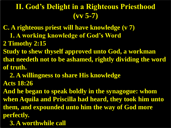### **II. God's Delight in a Righteous Priesthood (vv 5-7)**

- **C. A righteous priest will have knowledge (v 7) 1. A working knowledge of God's Word**
- **2 Timothy 2:15**
- **Study to shew thyself approved unto God, a workman that needeth not to be ashamed, rightly dividing the word of truth.**
	- **2. A willingness to share His knowledge**
- **Acts 18:26**
- **And he began to speak boldly in the synagogue: whom when Aquila and Priscilla had heard, they took him unto them, and expounded unto him the way of God more perfectly.**
	- **3. A worthwhile call**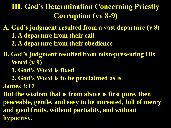### **III. God's Determination Concerning Priestly Corruption (vv 8-9)**

**A. God's judgment resulted from a vast departure (v 8) 1. A departure from their call 2. A departure from their obedience** 

**B. God's judgment resulted from misrepresenting His Word (v 9)**

 **1. God's Word is fixed** 

 **2. God's Word is to be proclaimed as is** 

**James 3:17**

**But the wisdom that is from above is first pure, then peaceable, gentle, and easy to be intreated, full of mercy and good fruits, without partiality, and without hypocrisy.**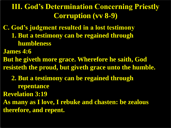### **III. God's Determination Concerning Priestly Corruption (vv 8-9)**

**C. God's judgment resulted in a lost testimony 1. But a testimony can be regained through humbleness**

**James 4:6**

**But he giveth more grace. Wherefore he saith, God resisteth the proud, but giveth grace unto the humble.**

 **2. But a testimony can be regained through repentance** 

**Revelation 3:19**

**As many as I love, I rebuke and chasten: be zealous therefore, and repent.**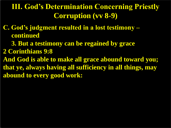### **III. God's Determination Concerning Priestly Corruption (vv 8-9)**

**C. God's judgment resulted in a lost testimony – continued** 

 **3. But a testimony can be regained by grace**

**2 Corinthians 9:8**

**And God is able to make all grace abound toward you; that ye, always having all sufficiency in all things, may abound to every good work:**